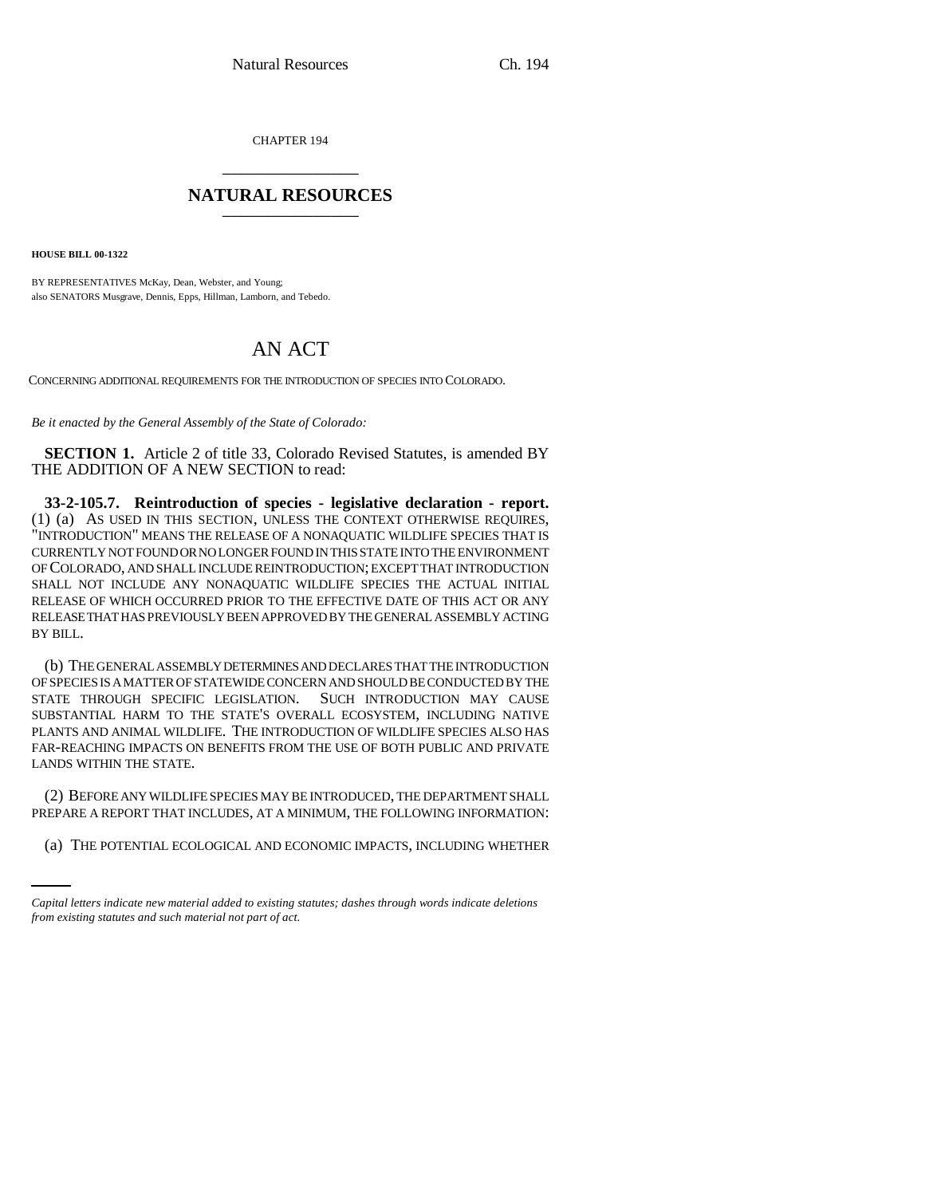CHAPTER 194 \_\_\_\_\_\_\_\_\_\_\_\_\_\_\_

## **NATURAL RESOURCES** \_\_\_\_\_\_\_\_\_\_\_\_\_\_\_

**HOUSE BILL 00-1322** 

BY REPRESENTATIVES McKay, Dean, Webster, and Young; also SENATORS Musgrave, Dennis, Epps, Hillman, Lamborn, and Tebedo.

## AN ACT

CONCERNING ADDITIONAL REQUIREMENTS FOR THE INTRODUCTION OF SPECIES INTO COLORADO.

*Be it enacted by the General Assembly of the State of Colorado:*

**SECTION 1.** Article 2 of title 33, Colorado Revised Statutes, is amended BY THE ADDITION OF A NEW SECTION to read:

**33-2-105.7. Reintroduction of species - legislative declaration - report.** (1) (a) AS USED IN THIS SECTION, UNLESS THE CONTEXT OTHERWISE REQUIRES, "INTRODUCTION" MEANS THE RELEASE OF A NONAQUATIC WILDLIFE SPECIES THAT IS CURRENTLY NOT FOUND OR NO LONGER FOUND IN THIS STATE INTO THE ENVIRONMENT OF COLORADO, AND SHALL INCLUDE REINTRODUCTION; EXCEPT THAT INTRODUCTION SHALL NOT INCLUDE ANY NONAQUATIC WILDLIFE SPECIES THE ACTUAL INITIAL RELEASE OF WHICH OCCURRED PRIOR TO THE EFFECTIVE DATE OF THIS ACT OR ANY RELEASE THAT HAS PREVIOUSLY BEEN APPROVED BY THE GENERAL ASSEMBLY ACTING BY BILL.

(b) THE GENERAL ASSEMBLY DETERMINES AND DECLARES THAT THE INTRODUCTION OF SPECIES IS A MATTER OF STATEWIDE CONCERN AND SHOULD BE CONDUCTED BY THE STATE THROUGH SPECIFIC LEGISLATION. SUCH INTRODUCTION MAY CAUSE SUBSTANTIAL HARM TO THE STATE'S OVERALL ECOSYSTEM, INCLUDING NATIVE PLANTS AND ANIMAL WILDLIFE. THE INTRODUCTION OF WILDLIFE SPECIES ALSO HAS FAR-REACHING IMPACTS ON BENEFITS FROM THE USE OF BOTH PUBLIC AND PRIVATE LANDS WITHIN THE STATE.

PREPARE A REPORT THAT INCLUDES, AT A MINIMUM, THE FOLLOWING INFORMATION: (2) BEFORE ANY WILDLIFE SPECIES MAY BE INTRODUCED, THE DEPARTMENT SHALL

(a) THE POTENTIAL ECOLOGICAL AND ECONOMIC IMPACTS, INCLUDING WHETHER

*Capital letters indicate new material added to existing statutes; dashes through words indicate deletions from existing statutes and such material not part of act.*